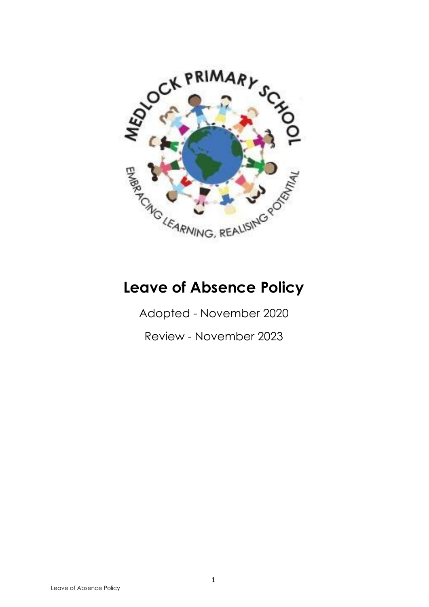

# **Leave of Absence Policy**

Adopted - November 2020

Review - November 2023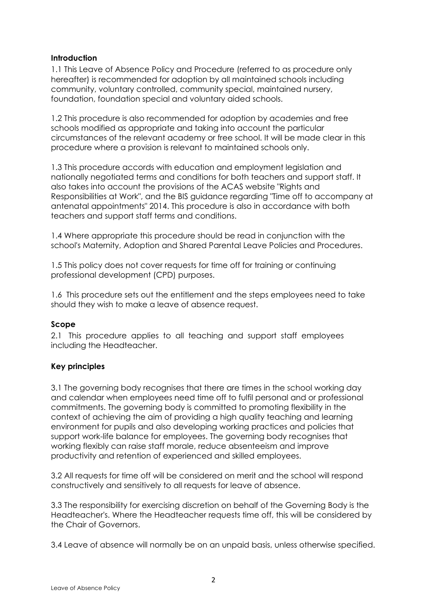#### **Introduction**

1.1 This Leave of Absence Policy and Procedure (referred to as procedure only hereafter) is recommended for adoption by all maintained schools including community, voluntary controlled, community special, maintained nursery, foundation, foundation special and voluntary aided schools.

1.2 This procedure is also recommended for adoption by academies and free schools modified as appropriate and taking into account the particular circumstances of the relevant academy or free school. It will be made clear in this procedure where a provision is relevant to maintained schools only.

1.3 This procedure accords with education and employment legislation and nationally negotiated terms and conditions for both teachers and support staff. It also takes into account the provisions of the ACAS website "Rights and Responsibilities at Work", and the BIS guidance regarding "Time off to accompany at antenatal appointments" 2014. This procedure is also in accordance with both teachers and support staff terms and conditions.

1.4 Where appropriate this procedure should be read in conjunction with the school's Maternity, Adoption and Shared Parental Leave Policies and Procedures.

1.5 This policy does not cover requests for time off for training or continuing professional development (CPD) purposes.

1.6 This procedure sets out the entitlement and the steps employees need to take should they wish to make a leave of absence request.

#### **Scope**

2.1 This procedure applies to all teaching and support staff employees including the Headteacher.

#### **Key principles**

3.1 The governing body recognises that there are times in the school working day and calendar when employees need time off to fulfil personal and or professional commitments. The governing body is committed to promoting flexibility in the context of achieving the aim of providing a high quality teaching and learning environment for pupils and also developing working practices and policies that support work-life balance for employees. The governing body recognises that working flexibly can raise staff morale, reduce absenteeism and improve productivity and retention of experienced and skilled employees.

3.2 All requests for time off will be considered on merit and the school will respond constructively and sensitively to all requests for leave of absence.

3.3 The responsibility for exercising discretion on behalf of the Governing Body is the Headteacher's. Where the Headteacher requests time off, this will be considered by the Chair of Governors.

3.4 Leave of absence will normally be on an unpaid basis, unless otherwise specified.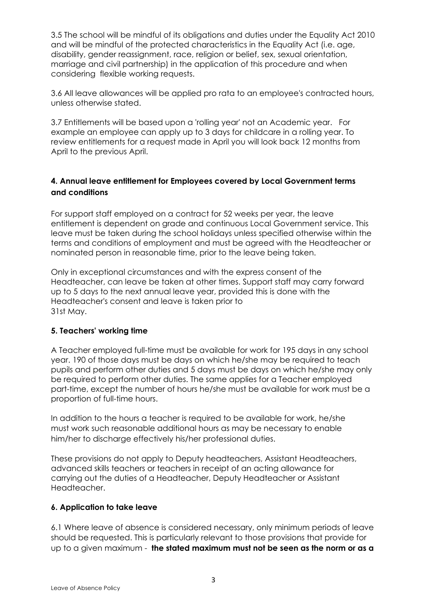3.5 The school will be mindful of its obligations and duties under the Equality Act 2010 and will be mindful of the protected characteristics in the Equality Act (i.e. age, disability, gender reassignment, race, religion or belief, sex, sexual orientation, marriage and civil partnership) in the application of this procedure and when considering flexible working requests.

3.6 All leave allowances will be applied pro rata to an employee's contracted hours, unless otherwise stated.

3.7 Entitlements will be based upon a 'rolling year' not an Academic year. For example an employee can apply up to 3 days for childcare in a rolling year. To review entitlements for a request made in April you will look back 12 months from April to the previous April.

# **4. Annual leave entitlement for Employees covered by Local Government terms and conditions**

For support staff employed on a contract for 52 weeks per year, the leave entitlement is dependent on grade and continuous Local Government service. This leave must be taken during the school holidays unless specified otherwise within the terms and conditions of employment and must be agreed with the Headteacher or nominated person in reasonable time, prior to the leave being taken.

Only in exceptional circumstances and with the express consent of the Headteacher, can leave be taken at other times. Support staff may carry forward up to 5 days to the next annual leave year, provided this is done with the Headteacher's consent and leave is taken prior to 31st May.

#### **5. Teachers' working time**

A Teacher employed full-time must be available for work for 195 days in any school year. 190 of those days must be days on which he/she may be required to teach pupils and perform other duties and 5 days must be days on which he/she may only be required to perform other duties. The same applies for a Teacher employed part-time, except the number of hours he/she must be available for work must be a proportion of full-time hours.

In addition to the hours a teacher is required to be available for work, he/she must work such reasonable additional hours as may be necessary to enable him/her to discharge effectively his/her professional duties.

These provisions do not apply to Deputy headteachers, Assistant Headteachers, advanced skills teachers or teachers in receipt of an acting allowance for carrying out the duties of a Headteacher, Deputy Headteacher or Assistant Headteacher.

#### **6. Application to take leave**

6.1 Where leave of absence is considered necessary, only minimum periods of leave should be requested. This is particularly relevant to those provisions that provide for up to a given maximum - **the stated maximum must not be seen as the norm or as a**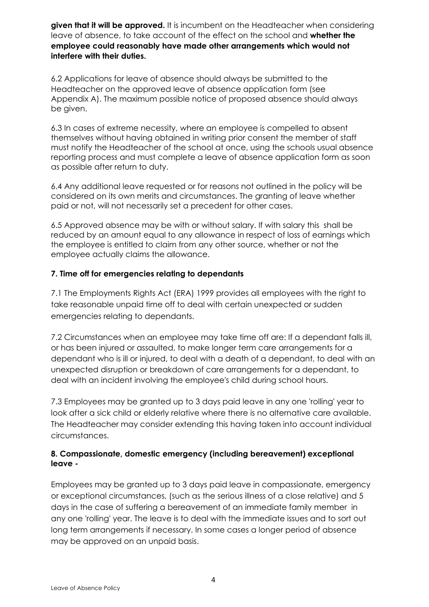**given that it will be approved.** It is incumbent on the Headteacher when considering leave of absence, to take account of the effect on the school and **whether the employee could reasonably have made other arrangements which would not interfere with their duties.**

6.2 Applications for leave of absence should always be submitted to the Headteacher on the approved leave of absence application form (see Appendix A). The maximum possible notice of proposed absence should always be given.

6.3 In cases of extreme necessity, where an employee is compelled to absent themselves without having obtained in writing prior consent the member of staff must notify the Headteacher of the school at once, using the schools usual absence reporting process and must complete a leave of absence application form as soon as possible after return to duty.

6.4 Any additional leave requested or for reasons not outlined in the policy will be considered on its own merits and circumstances. The granting of leave whether paid or not, will not necessarily set a precedent for other cases.

6.5 Approved absence may be with or without salary. If with salary this shall be reduced by an amount equal to any allowance in respect of loss of earnings which the employee is entitled to claim from any other source, whether or not the employee actually claims the allowance.

# **7. Time off for emergencies relating to dependants**

7.1 The Employments Rights Act (ERA) 1999 provides all employees with the right to take reasonable unpaid time off to deal with certain unexpected or sudden emergencies relating to dependants.

7.2 Circumstances when an employee may take time off are: If a dependant falls ill, or has been injured or assaulted, to make longer term care arrangements for a dependant who is ill or injured, to deal with a death of a dependant, to deal with an unexpected disruption or breakdown of care arrangements for a dependant, to deal with an incident involving the employee's child during school hours.

7.3 Employees may be granted up to 3 days paid leave in any one 'rolling' year to look after a sick child or elderly relative where there is no alternative care available. The Headteacher may consider extending this having taken into account individual circumstances.

# **8. Compassionate, domestic emergency (including bereavement) exceptional leave -**

Employees may be granted up to 3 days paid leave in compassionate, emergency or exceptional circumstances, (such as the serious illness of a close relative) and 5 days in the case of suffering a bereavement of an immediate family member in any one 'rolling' year. The leave is to deal with the immediate issues and to sort out long term arrangements if necessary. In some cases a longer period of absence may be approved on an unpaid basis.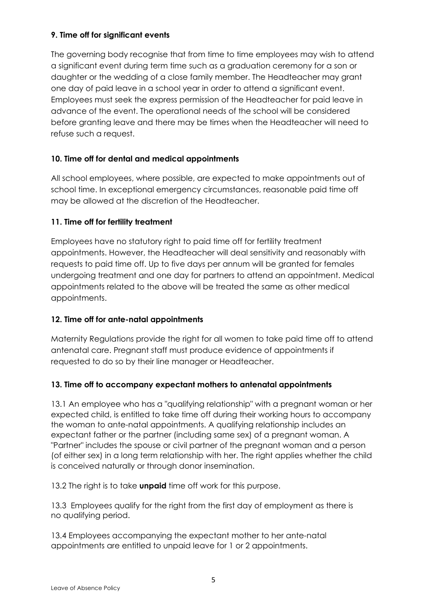# **9. Time off for significant events**

The governing body recognise that from time to time employees may wish to attend a significant event during term time such as a graduation ceremony for a son or daughter or the wedding of a close family member. The Headteacher may grant one day of paid leave in a school year in order to attend a significant event. Employees must seek the express permission of the Headteacher for paid leave in advance of the event. The operational needs of the school will be considered before granting leave and there may be times when the Headteacher will need to refuse such a request.

# **10. Time off for dental and medical appointments**

All school employees, where possible, are expected to make appointments out of school time. In exceptional emergency circumstances, reasonable paid time off may be allowed at the discretion of the Headteacher.

#### **11. Time off for fertility treatment**

Employees have no statutory right to paid time off for fertility treatment appointments. However, the Headteacher will deal sensitivity and reasonably with requests to paid time off. Up to five days per annum will be granted for females undergoing treatment and one day for partners to attend an appointment. Medical appointments related to the above will be treated the same as other medical appointments.

#### **12. Time off for ante-natal appointments**

Maternity Regulations provide the right for all women to take paid time off to attend antenatal care. Pregnant staff must produce evidence of appointments if requested to do so by their line manager or Headteacher.

#### **13. Time off to accompany expectant mothers to antenatal appointments**

13.1 An employee who has a "qualifying relationship" with a pregnant woman or her expected child, is entitled to take time off during their working hours to accompany the woman to ante-natal appointments. A qualifying relationship includes an expectant father or the partner (including same sex) of a pregnant woman. A "Partner" includes the spouse or civil partner of the pregnant woman and a person (of either sex) in a long term relationship with her. The right applies whether the child is conceived naturally or through donor insemination.

13.2 The right is to take **unpaid** time off work for this purpose.

13.3 Employees qualify for the right from the first day of employment as there is no qualifying period.

13.4 Employees accompanying the expectant mother to her ante-natal appointments are entitled to unpaid leave for 1 or 2 appointments.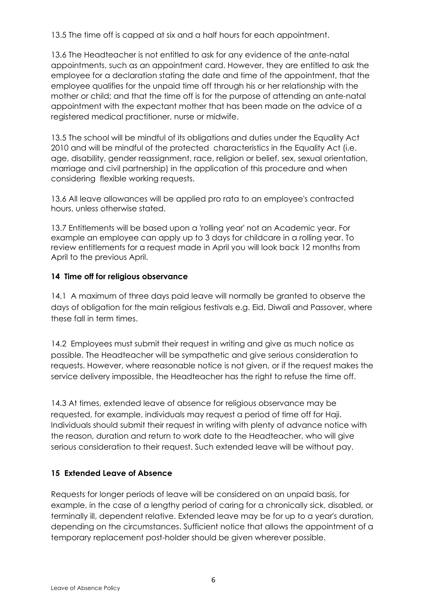13.5 The time off is capped at six and a half hours for each appointment.

13.6 The Headteacher is not entitled to ask for any evidence of the ante-natal appointments, such as an appointment card. However, they are entitled to ask the employee for a declaration stating the date and time of the appointment, that the employee qualifies for the unpaid time off through his or her relationship with the mother or child; and that the time off is for the purpose of attending an ante-natal appointment with the expectant mother that has been made on the advice of a registered medical practitioner, nurse or midwife.

13.5 The school will be mindful of its obligations and duties under the Equality Act 2010 and will be mindful of the protected characteristics in the Equality Act (i.e. age, disability, gender reassignment, race, religion or belief, sex, sexual orientation, marriage and civil partnership) in the application of this procedure and when considering flexible working requests.

13.6 All leave allowances will be applied pro rata to an employee's contracted hours, unless otherwise stated.

13.7 Entitlements will be based upon a 'rolling year' not an Academic year. For example an employee can apply up to 3 days for childcare in a rolling year. To review entitlements for a request made in April you will look back 12 months from April to the previous April.

#### **14 Time off for religious observance**

14.1 A maximum of three days paid leave will normally be granted to observe the days of obligation for the main religious festivals e.g. Eid, Diwali and Passover, where these fall in term times.

14.2 Employees must submit their request in writing and give as much notice as possible. The Headteacher will be sympathetic and give serious consideration to requests. However, where reasonable notice is not given, or if the request makes the service delivery impossible, the Headteacher has the right to refuse the time off.

14.3 At times, extended leave of absence for religious observance may be requested, for example, individuals may request a period of time off for Haji. Individuals should submit their request in writing with plenty of advance notice with the reason, duration and return to work date to the Headteacher, who will give serious consideration to their request. Such extended leave will be without pay.

#### **15 Extended Leave of Absence**

Requests for longer periods of leave will be considered on an unpaid basis, for example, in the case of a lengthy period of caring for a chronically sick, disabled, or terminally ill, dependent relative. Extended leave may be for up to a year's duration, depending on the circumstances. Sufficient notice that allows the appointment of a temporary replacement post-holder should be given wherever possible.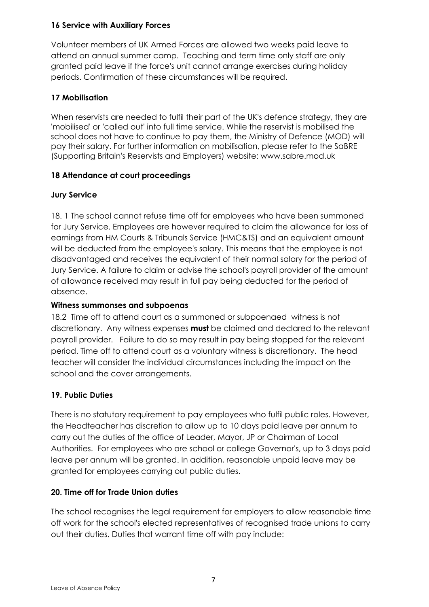# **16 Service with Auxiliary Forces**

Volunteer members of UK Armed Forces are allowed two weeks paid leave to attend an annual summer camp. Teaching and term time only staff are only granted paid leave if the force's unit cannot arrange exercises during holiday periods. Confirmation of these circumstances will be required.

# **17 Mobilisation**

When reservists are needed to fulfil their part of the UK's defence strategy, they are 'mobilised' or 'called out' into full time service. While the reservist is mobilised the school does not have to continue to pay them, the Ministry of Defence (MOD) will pay their salary. For further information on mobilisation, please refer to the SaBRE (Supporting Britain's Reservists and Employers) website: [www.sabre.mod.uk](http://www.sabre.mod.uk/)

# **18 Attendance at court proceedings**

# **Jury Service**

18. 1 The school cannot refuse time off for employees who have been summoned for Jury Service. Employees are however required to claim the allowance for loss of earnings from HM Courts & Tribunals Service (HMC&TS) and an equivalent amount will be deducted from the employee's salary. This means that the employee is not disadvantaged and receives the equivalent of their normal salary for the period of Jury Service. A failure to claim or advise the school's payroll provider of the amount of allowance received may result in full pay being deducted for the period of absence.

# **Witness summonses and subpoenas**

18.2 Time off to attend court as a summoned or subpoenaed witness is not discretionary. Any witness expenses **must** be claimed and declared to the relevant payroll provider. Failure to do so may result in pay being stopped for the relevant period. Time off to attend court as a voluntary witness is discretionary. The head teacher will consider the individual circumstances including the impact on the school and the cover arrangements.

#### **19. Public Duties**

There is no statutory requirement to pay employees who fulfil public roles. However, the Headteacher has discretion to allow up to 10 days paid leave per annum to carry out the duties of the office of Leader, Mayor, JP or Chairman of Local Authorities. For employees who are school or college Governor's, up to 3 days paid leave per annum will be granted. In addition, reasonable unpaid leave may be granted for employees carrying out public duties.

# **20. Time off for Trade Union duties**

The school recognises the legal requirement for employers to allow reasonable time off work for the school's elected representatives of recognised trade unions to carry out their duties. Duties that warrant time off with pay include: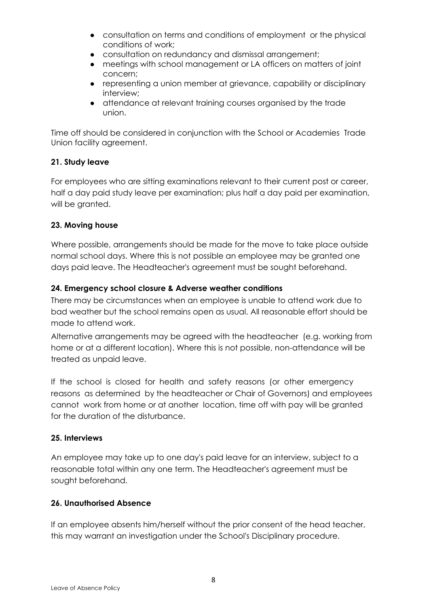- consultation on terms and conditions of employment or the physical conditions of work;
- consultation on redundancy and dismissal arrangement;
- meetings with school management or LA officers on matters of joint concern;
- representing a union member at grievance, capability or disciplinary interview;
- attendance at relevant training courses organised by the trade union.

Time off should be considered in conjunction with the School or Academies Trade Union facility agreement.

# **21. Study leave**

For employees who are sitting examinations relevant to their current post or career, half a day paid study leave per examination; plus half a day paid per examination, will be granted.

# **23. Moving house**

Where possible, arrangements should be made for the move to take place outside normal school days. Where this is not possible an employee may be granted one days paid leave. The Headteacher's agreement must be sought beforehand.

# **24. Emergency school closure & Adverse weather conditions**

There may be circumstances when an employee is unable to attend work due to bad weather but the school remains open as usual. All reasonable effort should be made to attend work.

Alternative arrangements may be agreed with the headteacher (e.g. working from home or at a different location). Where this is not possible, non-attendance will be treated as unpaid leave.

If the school is closed for health and safety reasons (or other emergency reasons as determined by the headteacher or Chair of Governors) and employees cannot work from home or at another location, time off with pay will be granted for the duration of the disturbance.

#### **25. Interviews**

An employee may take up to one day's paid leave for an interview, subject to a reasonable total within any one term. The Headteacher's agreement must be sought beforehand.

# **26. Unauthorised Absence**

If an employee absents him/herself without the prior consent of the head teacher, this may warrant an investigation under the School's Disciplinary procedure.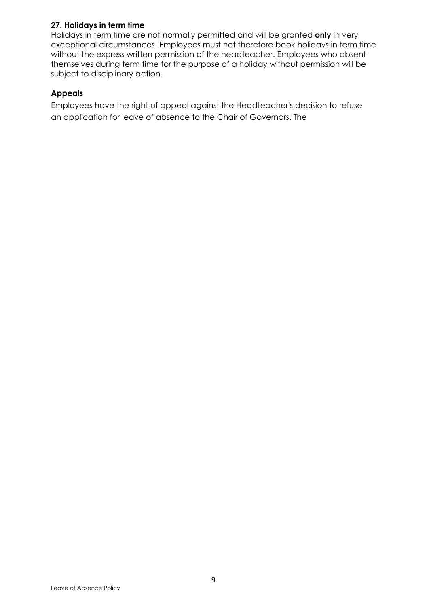# **27. Holidays in term time**

Holidays in term time are not normally permitted and will be granted **only** in very exceptional circumstances. Employees must not therefore book holidays in term time without the express written permission of the headteacher. Employees who absent themselves during term time for the purpose of a holiday without permission will be subject to disciplinary action.

#### **Appeals**

Employees have the right of appeal against the Headteacher's decision to refuse an application for leave of absence to the Chair of Governors. The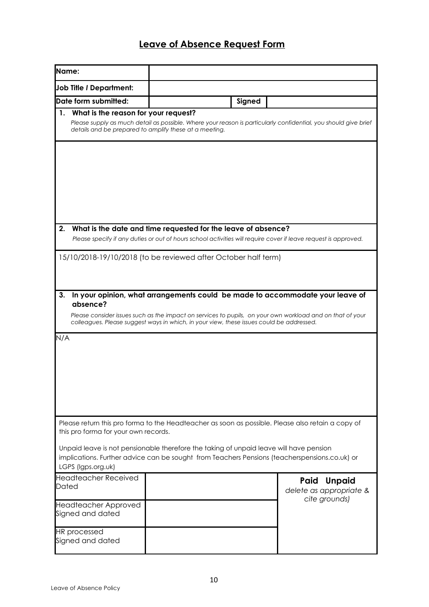# **Leave of Absence Request Form**

| Name:                                                                                                                                                                                                                                                                                                                                                      |                                                                                          |        |                                                                                                                                                                                            |  |  |  |
|------------------------------------------------------------------------------------------------------------------------------------------------------------------------------------------------------------------------------------------------------------------------------------------------------------------------------------------------------------|------------------------------------------------------------------------------------------|--------|--------------------------------------------------------------------------------------------------------------------------------------------------------------------------------------------|--|--|--|
| <b>Job Title / Department:</b>                                                                                                                                                                                                                                                                                                                             |                                                                                          |        |                                                                                                                                                                                            |  |  |  |
| Date form submitted:                                                                                                                                                                                                                                                                                                                                       |                                                                                          | Signed |                                                                                                                                                                                            |  |  |  |
| What is the reason for your request?<br>$\mathbf{1}$ .                                                                                                                                                                                                                                                                                                     | details and be prepared to amplify these at a meeting.                                   |        | Please supply as much detail as possible. Where your reason is particularly confidential, you should give brief                                                                            |  |  |  |
|                                                                                                                                                                                                                                                                                                                                                            |                                                                                          |        |                                                                                                                                                                                            |  |  |  |
| What is the date and time requested for the leave of absence?<br>2.<br>Please specify if any duties or out of hours school activities will require cover if leave request is approved.                                                                                                                                                                     |                                                                                          |        |                                                                                                                                                                                            |  |  |  |
| 15/10/2018-19/10/2018 (to be reviewed after October half term)                                                                                                                                                                                                                                                                                             |                                                                                          |        |                                                                                                                                                                                            |  |  |  |
| 3.<br>absence?                                                                                                                                                                                                                                                                                                                                             | colleagues. Please suggest ways in which, in your view, these issues could be addressed. |        | In your opinion, what arrangements could be made to accommodate your leave of<br>Please consider issues such as the impact on services to pupils, on your own workload and on that of your |  |  |  |
| N/A                                                                                                                                                                                                                                                                                                                                                        |                                                                                          |        |                                                                                                                                                                                            |  |  |  |
| Please return this pro forma to the Headteacher as soon as possible. Please also retain a copy of<br>this pro forma for your own records.<br>Unpaid leave is not pensionable therefore the taking of unpaid leave will have pension<br>implications. Further advice can be sought from Teachers Pensions (teacherspensions.co.uk) or<br>LGPS (Igps.org.uk) |                                                                                          |        |                                                                                                                                                                                            |  |  |  |
| <b>Headteacher Received</b><br>Dated<br><b>Headteacher Approved</b><br>Signed and dated                                                                                                                                                                                                                                                                    |                                                                                          |        | Paid<br><b>Unpaid</b><br>delete as appropriate &<br>cite grounds)                                                                                                                          |  |  |  |
| <b>HR</b> processed<br>Signed and dated                                                                                                                                                                                                                                                                                                                    |                                                                                          |        |                                                                                                                                                                                            |  |  |  |